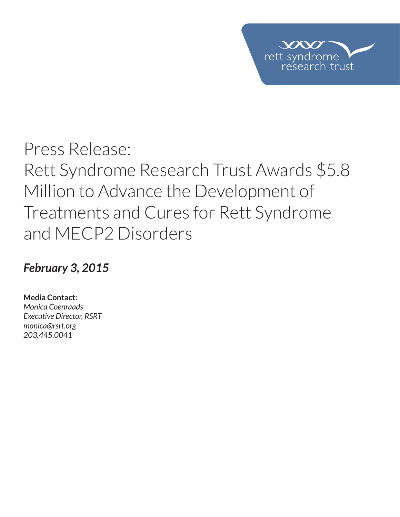

# *February 3, 2015*

**Media Contact:**  *Monica Coenraads*

*Executive Director, RSRT monica@rsrt.org 203.445.0041*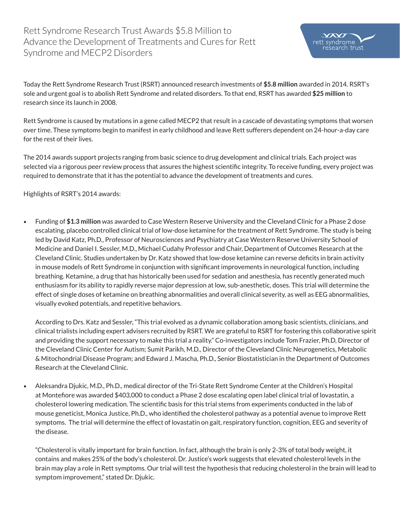$VX$ rett syndrome

earch trust

Today the Rett Syndrome Research Trust (RSRT) announced research investments of **\$5.8 million** awarded in 2014. RSRT's sole and urgent goal is to abolish Rett Syndrome and related disorders. To that end, RSRT has awarded **\$25 million** to research since its launch in 2008.

Rett Syndrome is caused by mutations in a gene called MECP2 that result in a cascade of devastating symptoms that worsen over time. These symptoms begin to manifest in early childhood and leave Rett sufferers dependent on 24-hour-a-day care for the rest of their lives.

The 2014 awards support projects ranging from basic science to drug development and clinical trials. Each project was selected via a rigorous peer review process that assures the highest scientifc integrity. To receive funding, every project was required to demonstrate that it has the potential to advance the development of treatments and cures.

Highlights of RSRT's 2014 awards:

t Funding of **\$1.3 million** was awarded to Case Western Reserve University and the Cleveland Clinic for a Phase 2 dose escalating, placebo controlled clinical trial of low-dose ketamine for the treatment of Rett Syndrome. The study is being led by David Katz, Ph.D., Professor of Neurosciences and Psychiatry at Case Western Reserve University School of Medicine and Daniel I. Sessler, M.D., Michael Cudahy Professor and Chair, Department of Outcomes Research at the Cleveland Clinic. Studies undertaken by Dr. Katz showed that low-dose ketamine can reverse defcits in brain activity in mouse models of Rett Syndrome in conjunction with signifcant improvements in neurological function, including breathing. Ketamine, a drug that has historically been used for sedation and anesthesia, has recently generated much enthusiasm for its ability to rapidly reverse major depression at low, sub-anesthetic, doses. This trial will determine the effect of single doses of ketamine on breathing abnormalities and overall clinical severity, as well as EEG abnormalities, visually evoked potentials, and repetitive behaviors.

According to Drs. Katz and Sessler, "This trial evolved as a dynamic collaboration among basic scientists, clinicians, and clinical trialists including expert advisers recruited by RSRT. We are grateful to RSRT for fostering this collaborative spirit and providing the support necessary to make this trial a reality." Co-investigators include Tom Frazier, Ph.D, Director of the Cleveland Clinic Center for Autism; Sumit Parikh, M.D., Director of the Cleveland Clinic Neurogenetics, Metabolic & Mitochondrial Disease Program; and Edward J. Mascha, Ph.D., Senior Biostatistician in the Department of Outcomes Research at the Cleveland Clinic.

• Aleksandra Djukic, M.D., Ph.D., medical director of the Tri-State Rett Syndrome Center at the Children's Hospital at Montefore was awarded \$403,000 to conduct a Phase 2 dose escalating open label clinical trial of lovastatin, a cholesterol lowering medication. The scientifc basis for this trial stems from experiments conducted in the lab of mouse geneticist, Monica Justice, Ph.D., who identifed the cholesterol pathway as a potential avenue to improve Rett symptoms. The trial will determine the effect of lovastatin on gait, respiratory function, cognition, EEG and severity of the disease.

"Cholesterol is vitally important for brain function. In fact, although the brain is only 2-3% of total body weight, it contains and makes 25% of the body's cholesterol. Dr. Justice's work suggests that elevated cholesterol levels in the brain may play a role in Rett symptoms. Our trial will test the hypothesis that reducing cholesterol in the brain will lead to symptom improvement," stated Dr. Djukic.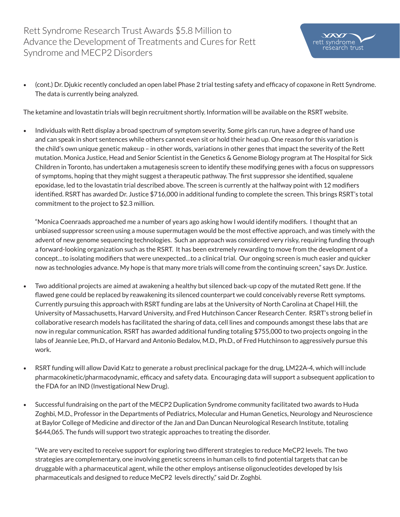• (cont.) Dr. Djukic recently concluded an open label Phase 2 trial testing safety and efficacy of copaxone in Rett Syndrome. The data is currently being analyzed.

 $VX$ rett syndrome

earch trust

The ketamine and lovastatin trials will begin recruitment shortly. Information will be available on the RSRT website.

• Individuals with Rett display a broad spectrum of symptom severity. Some girls can run, have a degree of hand use and can speak in short sentences while others cannot even sit or hold their head up. One reason for this variation is the child's own unique genetic makeup – in other words, variations in other genes that impact the severity of the Rett mutation. Monica Justice, Head and Senior Scientist in the Genetics & Genome Biology program at The Hospital for Sick Children in Toronto, has undertaken a mutagenesis screen to identify these modifying genes with a focus on suppressors of symptoms, hoping that they might suggest a therapeutic pathway. The frst suppressor she identifed, squalene epoxidase, led to the lovastatin trial described above. The screen is currently at the halfway point with 12 modifers identifed. RSRT has awarded Dr. Justice \$716,000 in additional funding to complete the screen. This brings RSRT's total commitment to the project to \$2.3 million.

"Monica Coenraads approached me a number of years ago asking how I would identify modifers. I thought that an unbiased suppressor screen using a mouse supermutagen would be the most effective approach, and was timely with the advent of new genome sequencing technologies. Such an approach was considered very risky, requiring funding through a forward-looking organization such as the RSRT. It has been extremely rewarding to move from the development of a concept…to isolating modifers that were unexpected…to a clinical trial. Our ongoing screen is much easier and quicker now as technologies advance. My hope is that many more trials will come from the continuing screen," says Dr. Justice.

- Two additional projects are aimed at awakening a healthy but silenced back-up copy of the mutated Rett gene. If the fawed gene could be replaced by reawakening its silenced counterpart we could conceivably reverse Rett symptoms. Currently pursuing this approach with RSRT funding are labs at the University of North Carolina at Chapel Hill, the University of Massachusetts, Harvard University, and Fred Hutchinson Cancer Research Center. RSRT's strong belief in collaborative research models has facilitated the sharing of data, cell lines and compounds amongst these labs that are now in regular communication. RSRT has awarded additional funding totaling \$755,000 to two projects ongoing in the labs of Jeannie Lee, Ph.D., of Harvard and Antonio Bedalov, M.D., Ph.D., of Fred Hutchinson to aggressively pursue this work.
- RSRT funding will allow David Katz to generate a robust preclinical package for the drug, LM22A-4, which will include pharmacokinetic/pharmacodynamic, effcacy and safety data. Encouraging data will support a subsequent application to the FDA for an IND (Investigational New Drug).
- Successful fundraising on the part of the MECP2 Duplication Syndrome community facilitated two awards to Huda Zoghbi, M.D., Professor in the Departments of Pediatrics, Molecular and Human Genetics, Neurology and Neuroscience at Baylor College of Medicine and director of the Jan and Dan Duncan Neurological Research Institute, totaling \$644,065. The funds will support two strategic approaches to treating the disorder.

"We are very excited to receive support for exploring two different strategies to reduce MeCP2 levels. The two strategies are complementary, one involving genetic screens in human cells to fnd potential targets that can be druggable with a pharmaceutical agent, while the other employs antisense oligonucleotides developed by Isis pharmaceuticals and designed to reduce MeCP2 levels directly," said Dr. Zoghbi.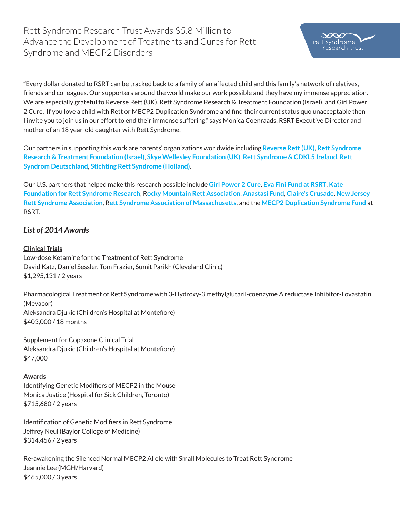"Every dollar donated to RSRT can be tracked back to a family of an affected child and this family's network of relatives, friends and colleagues. Our supporters around the world make our work possible and they have my immense appreciation. We are especially grateful to Reverse Rett (UK), Rett Syndrome Research & Treatment Foundation (Israel), and Girl Power 2 Cure. If you love a child with Rett or MECP2 Duplication Syndrome and fnd their current status quo unacceptable then I invite you to join us in our effort to end their immense suffering," says Monica Coenraads, RSRT Executive Director and mother of an 18 year-old daughter with Rett Syndrome.

Our partners in supporting this work are parents' organizations worldwide including **Reverse Rett (UK)**, **Rett Syndrome Research & Treatment Foundation (Israel)**, **Skye Wellesley Foundation (UK)**, **Rett Syndrome & CDKL5 Ireland**, **Rett Syndrom Deutschland**, **Stichting Rett Syndrome (Holland)**.

Our U.S. partners that helped make this research possible include **Girl Power 2 Cure**, **Eva Fini Fund at RSRT**, **Kate Foundation for Rett Syndrome Research**, R**ocky Mountain Rett Association**, **Anastasi Fund**, **Claire's Crusade**, **New Jersey Rett Syndrome Association**, R**ett Syndrome Association of Massachusetts**, and the **MECP2 Duplication Syndrome Fund** at RSRT.

# *List of 2014 Awards*

#### **Clinical Trials**

Low-dose Ketamine for the Treatment of Rett Syndrome David Katz, Daniel Sessler, Tom Frazier, Sumit Parikh (Cleveland Clinic) \$1,295,131 / 2 years

Pharmacological Treatment of Rett Syndrome with 3-Hydroxy-3 methylglutaril-coenzyme A reductase Inhibitor-Lovastatin (Mevacor) Aleksandra Djukic (Children's Hospital at Montefore) \$403,000 / 18 months

Supplement for Copaxone Clinical Trial Aleksandra Djukic (Children's Hospital at Montefore) \$47,000

#### **Awards**

Identifying Genetic Modifers of MECP2 in the Mouse Monica Justice (Hospital for Sick Children, Toronto) \$715,680 / 2 years

Identifcation of Genetic Modifers in Rett Syndrome Jeffrey Neul (Baylor College of Medicine) \$314,456 / 2 years

Re-awakening the Silenced Normal MECP2 Allele with Small Molecules to Treat Rett Syndrome Jeannie Lee (MGH/Harvard) \$465,000 / 3 years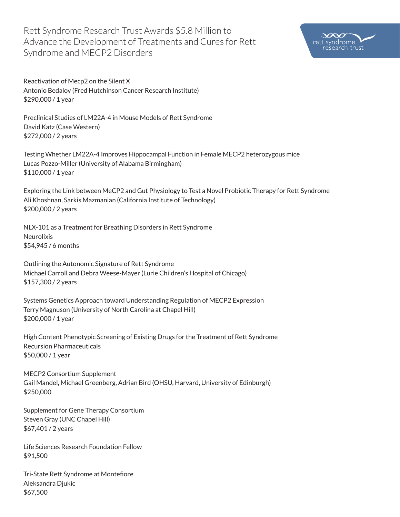

Reactivation of Mecp2 on the Silent X Antonio Bedalov (Fred Hutchinson Cancer Research Institute) \$290,000 / 1 year

Preclinical Studies of LM22A-4 in Mouse Models of Rett Syndrome David Katz (Case Western) \$272,000 / 2 years

Testing Whether LM22A-4 Improves Hippocampal Function in Female MECP2 heterozygous mice Lucas Pozzo-Miller (University of Alabama Birmingham) \$110,000 / 1 year

Exploring the Link between MeCP2 and Gut Physiology to Test a Novel Probiotic Therapy for Rett Syndrome Ali Khoshnan, Sarkis Mazmanian (California Institute of Technology) \$200,000 / 2 years

NLX-101 as a Treatment for Breathing Disorders in Rett Syndrome Neurolixis \$54,945 / 6 months

Outlining the Autonomic Signature of Rett Syndrome Michael Carroll and Debra Weese-Mayer (Lurie Children's Hospital of Chicago) \$157,300 / 2 years

Systems Genetics Approach toward Understanding Regulation of MECP2 Expression Terry Magnuson (University of North Carolina at Chapel Hill) \$200,000 / 1 year

High Content Phenotypic Screening of Existing Drugs for the Treatment of Rett Syndrome Recursion Pharmaceuticals \$50,000 / 1 year

MECP2 Consortium Supplement Gail Mandel, Michael Greenberg, Adrian Bird (OHSU, Harvard, University of Edinburgh) \$250,000

Supplement for Gene Therapy Consortium Steven Gray (UNC Chapel Hill) \$67,401 / 2 years

Life Sciences Research Foundation Fellow \$91,500

Tri-State Rett Syndrome at Montefore Aleksandra Djukic \$67,500